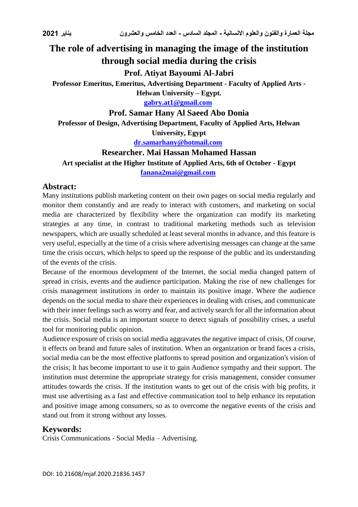# **The role of advertising in managing the image of the institution through social media during the crisis**

# **Prof. Atiyat Bayoumi Al-Jabri**

**Professor Emeritus, Emeritus, Advertising Department - Faculty of Applied Arts -**

**Helwan University – Egypt.**

**[gabry.at1@gmail.com](mailto:gabry.at1@gmail.com)**

### **Prof. Samar Hany Al Saeed Abo Donia**

**Professor of Design, Advertising Department, Faculty of Applied Arts, Helwan University, Egypt**

**[dr.samarhany@hotmail.com](mailto:dr.samarhany@hotmail.com)**

# **Researcher. Mai Hassan Mohamed Hassan**

**Art specialist at the Higher Institute of Applied Arts, 6th of October - Egypt [fanana2mai@gmail.com](mailto:fanana2mai@gmail.com)**

### **Abstract:**

Many institutions publish marketing content on their own pages on social media regularly and monitor them constantly and are ready to interact with customers, and marketing on social media are characterized by flexibility where the organization can modify its marketing strategies at any time, in contrast to traditional marketing methods such as television newspapers, which are usually scheduled at least several months in advance, and this feature is very useful, especially at the time of a crisis where advertising messages can change at the same time the crisis occurs, which helps to speed up the response of the public and its understanding of the events of the crisis.

Because of the enormous development of the Internet, the social media changed pattern of spread in crisis, events and the audience participation. Making the rise of new challenges for crisis management institutions in order to maintain its positive image. Where the audience depends on the social media to share their experiences in dealing with crises, and communicate with their inner feelings such as worry and fear, and actively search for all the information about the crisis. Social media is an important source to detect signals of possibility crises, a useful tool for monitoring public opinion.

Audience exposure of crisis on social media aggravates the negative impact of crisis, Of course, it effects on brand and future sales of institution. When an organization or brand faces a crisis, social media can be the most effective platforms to spread position and organization's vision of the crisis; It has become important to use it to gain Audience sympathy and their support. The institution must determine the appropriate strategy for crisis management, consider consumer attitudes towards the crisis. If the institution wants to get out of the crisis with big profits, it must use advertising as a fast and effective communication tool to help enhance its reputation and positive image among consumers, so as to overcome the negative events of the crisis and stand out from it strong without any losses.

# **Keywords:**

Crisis Communications - Social Media – Advertising.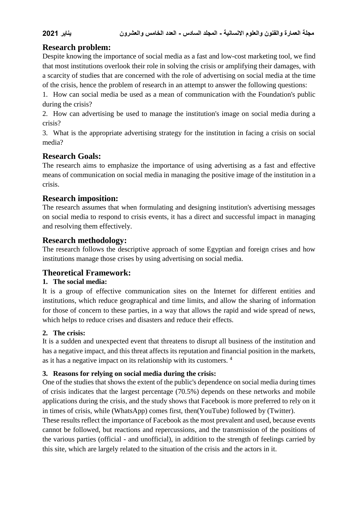# **Research problem:**

Despite knowing the importance of social media as a fast and low-cost marketing tool, we find that most institutions overlook their role in solving the crisis or amplifying their damages, with a scarcity of studies that are concerned with the role of advertising on social media at the time of the crisis, hence the problem of research in an attempt to answer the following questions:

1. How can social media be used as a mean of communication with the Foundation's public during the crisis?

2. How can advertising be used to manage the institution's image on social media during a crisis?

3. What is the appropriate advertising strategy for the institution in facing a crisis on social media?

# **Research Goals:**

The research aims to emphasize the importance of using advertising as a fast and effective means of communication on social media in managing the positive image of the institution in a crisis.

# **Research imposition:**

The research assumes that when formulating and designing institution's advertising messages on social media to respond to crisis events, it has a direct and successful impact in managing and resolving them effectively.

# **Research methodology:**

The research follows the descriptive approach of some Egyptian and foreign crises and how institutions manage those crises by using advertising on social media.

# **Theoretical Framework:**

# **1. The social media:**

It is a group of effective communication sites on the Internet for different entities and institutions, which reduce geographical and time limits, and allow the sharing of information for those of concern to these parties, in a way that allows the rapid and wide spread of news, which helps to reduce crises and disasters and reduce their effects.

# **2. The crisis:**

It is a sudden and unexpected event that threatens to disrupt all business of the institution and has a negative impact, and this threat affects its reputation and financial position in the markets, as it has a negative impact on its relationship with its customers. <sup>4</sup>

# **3. Reasons for relying on social media during the crisis:**

One of the studies that shows the extent of the public's dependence on social media during times of crisis indicates that the largest percentage (70.5%) depends on these networks and mobile applications during the crisis, and the study shows that Facebook is more preferred to rely on it in times of crisis, while (WhatsApp) comes first, then(YouTube) followed by (Twitter).

These results reflect the importance of Facebook as the most prevalent and used, because events cannot be followed, but reactions and repercussions, and the transmission of the positions of the various parties (official - and unofficial), in addition to the strength of feelings carried by this site, which are largely related to the situation of the crisis and the actors in it.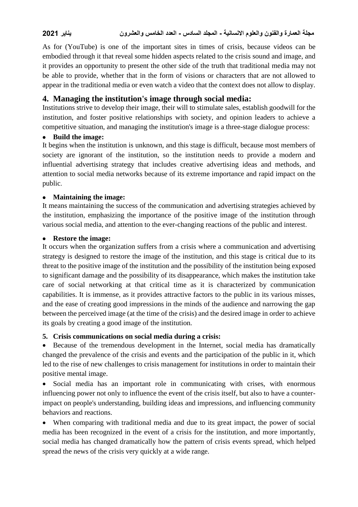As for (YouTube) is one of the important sites in times of crisis, because videos can be embodied through it that reveal some hidden aspects related to the crisis sound and image, and it provides an opportunity to present the other side of the truth that traditional media may not be able to provide, whether that in the form of visions or characters that are not allowed to appear in the traditional media or even watch a video that the context does not allow to display.

# **4. Managing the institution's image through social media:**

Institutions strive to develop their image, their will to stimulate sales, establish goodwill for the institution, and foster positive relationships with society, and opinion leaders to achieve a competitive situation, and managing the institution's image is a three-stage dialogue process:

### **Build the image:**

It begins when the institution is unknown, and this stage is difficult, because most members of society are ignorant of the institution, so the institution needs to provide a modern and influential advertising strategy that includes creative advertising ideas and methods, and attention to social media networks because of its extreme importance and rapid impact on the public.

### **Maintaining the image:**

It means maintaining the success of the communication and advertising strategies achieved by the institution, emphasizing the importance of the positive image of the institution through various social media, and attention to the ever-changing reactions of the public and interest.

#### **Restore the image:**

It occurs when the organization suffers from a crisis where a communication and advertising strategy is designed to restore the image of the institution, and this stage is critical due to its threat to the positive image of the institution and the possibility of the institution being exposed to significant damage and the possibility of its disappearance, which makes the institution take care of social networking at that critical time as it is characterized by communication capabilities. It is immense, as it provides attractive factors to the public in its various misses, and the ease of creating good impressions in the minds of the audience and narrowing the gap between the perceived image (at the time of the crisis) and the desired image in order to achieve its goals by creating a good image of the institution.

# **5. Crisis communications on social media during a crisis:**

 Because of the tremendous development in the Internet, social media has dramatically changed the prevalence of the crisis and events and the participation of the public in it, which led to the rise of new challenges to crisis management for institutions in order to maintain their positive mental image.

 Social media has an important role in communicating with crises, with enormous influencing power not only to influence the event of the crisis itself, but also to have a counterimpact on people's understanding, building ideas and impressions, and influencing community behaviors and reactions.

 When comparing with traditional media and due to its great impact, the power of social media has been recognized in the event of a crisis for the institution, and more importantly, social media has changed dramatically how the pattern of crisis events spread, which helped spread the news of the crisis very quickly at a wide range.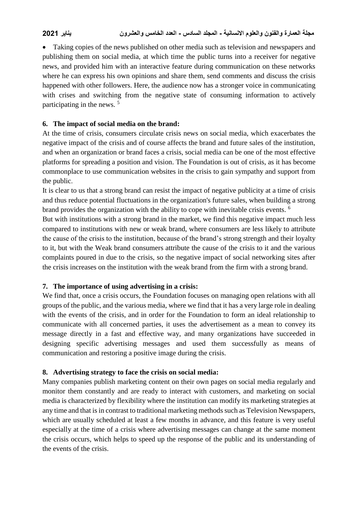Taking copies of the news published on other media such as television and newspapers and publishing them on social media, at which time the public turns into a receiver for negative news, and provided him with an interactive feature during communication on these networks where he can express his own opinions and share them, send comments and discuss the crisis happened with other followers. Here, the audience now has a stronger voice in communicating with crises and switching from the negative state of consuming information to actively participating in the news. <sup>5</sup>

# **6. The impact of social media on the brand:**

At the time of crisis, consumers circulate crisis news on social media, which exacerbates the negative impact of the crisis and of course affects the brand and future sales of the institution, and when an organization or brand faces a crisis, social media can be one of the most effective platforms for spreading a position and vision. The Foundation is out of crisis, as it has become commonplace to use communication websites in the crisis to gain sympathy and support from the public.

It is clear to us that a strong brand can resist the impact of negative publicity at a time of crisis and thus reduce potential fluctuations in the organization's future sales, when building a strong brand provides the organization with the ability to cope with inevitable crisis events. <sup>6</sup>

But with institutions with a strong brand in the market, we find this negative impact much less compared to institutions with new or weak brand, where consumers are less likely to attribute the cause of the crisis to the institution, because of the brand's strong strength and their loyalty to it, but with the Weak brand consumers attribute the cause of the crisis to it and the various complaints poured in due to the crisis, so the negative impact of social networking sites after the crisis increases on the institution with the weak brand from the firm with a strong brand.

#### **7. The importance of using advertising in a crisis:**

We find that, once a crisis occurs, the Foundation focuses on managing open relations with all groups of the public, and the various media, where we find that it has a very large role in dealing with the events of the crisis, and in order for the Foundation to form an ideal relationship to communicate with all concerned parties, it uses the advertisement as a mean to convey its message directly in a fast and effective way, and many organizations have succeeded in designing specific advertising messages and used them successfully as means of communication and restoring a positive image during the crisis.

# **8. Advertising strategy to face the crisis on social media:**

Many companies publish marketing content on their own pages on social media regularly and monitor them constantly and are ready to interact with customers, and marketing on social media is characterized by flexibility where the institution can modify its marketing strategies at any time and that is in contrast to traditional marketing methods such as Television Newspapers, which are usually scheduled at least a few months in advance, and this feature is very useful especially at the time of a crisis where advertising messages can change at the same moment the crisis occurs, which helps to speed up the response of the public and its understanding of the events of the crisis.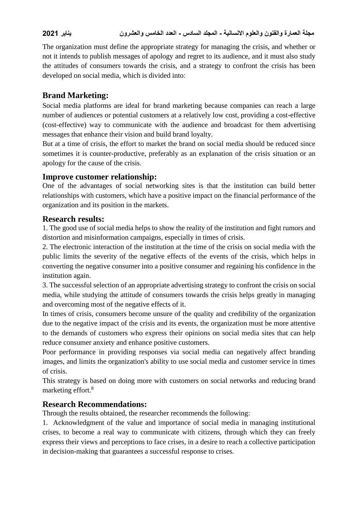The organization must define the appropriate strategy for managing the crisis, and whether or not it intends to publish messages of apology and regret to its audience, and it must also study the attitudes of consumers towards the crisis, and a strategy to confront the crisis has been developed on social media, which is divided into:

# **Brand Marketing:**

Social media platforms are ideal for brand marketing because companies can reach a large number of audiences or potential customers at a relatively low cost, providing a cost-effective (cost-effective) way to communicate with the audience and broadcast for them advertising messages that enhance their vision and build brand loyalty.

But at a time of crisis, the effort to market the brand on social media should be reduced since sometimes it is counter-productive, preferably as an explanation of the crisis situation or an apology for the cause of the crisis.

### **Improve customer relationship:**

One of the advantages of social networking sites is that the institution can build better relationships with customers, which have a positive impact on the financial performance of the organization and its position in the markets.

# **Research results:**

1. The good use of social media helps to show the reality of the institution and fight rumors and distortion and misinformation campaigns, especially in times of crisis.

2. The electronic interaction of the institution at the time of the crisis on social media with the public limits the severity of the negative effects of the events of the crisis, which helps in converting the negative consumer into a positive consumer and regaining his confidence in the institution again.

3. The successful selection of an appropriate advertising strategy to confront the crisis on social media, while studying the attitude of consumers towards the crisis helps greatly in managing and overcoming most of the negative effects of it.

In times of crisis, consumers become unsure of the quality and credibility of the organization due to the negative impact of the crisis and its events, the organization must be more attentive to the demands of customers who express their opinions on social media sites that can help reduce consumer anxiety and enhance positive customers.

Poor performance in providing responses via social media can negatively affect branding images, and limits the organization's ability to use social media and customer service in times of crisis.

This strategy is based on doing more with customers on social networks and reducing brand marketing effort.<sup>8</sup>

# **Research Recommendations:**

Through the results obtained, the researcher recommends the following:

1. Acknowledgment of the value and importance of social media in managing institutional crises, to become a real way to communicate with citizens, through which they can freely express their views and perceptions to face crises, in a desire to reach a collective participation in decision-making that guarantees a successful response to crises.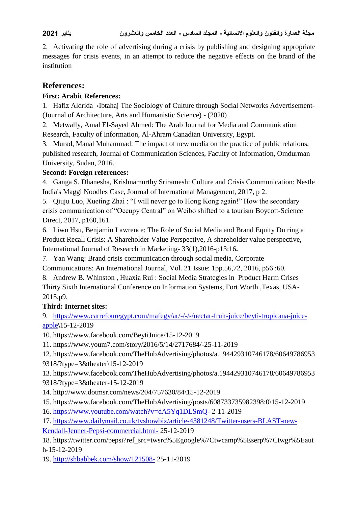2. Activating the role of advertising during a crisis by publishing and designing appropriate messages for crisis events, in an attempt to reduce the negative effects on the brand of the institution

# **References:**

### **First: Arabic References:**

1. Hafiz Aldrida «Ibtahaj The Sociology of Culture through Social Networks Advertisement-(Journal of Architecture, Arts and Humanistic Science) - (2020)

2. Metwally, Amal El-Sayed Ahmed: The Arab Journal for Media and Communication Research, Faculty of Information, Al-Ahram Canadian University, Egypt.

3. Murad, Manal Muhammad: The impact of new media on the practice of public relations, published research, Journal of Communication Sciences, Faculty of Information, Omdurman University, Sudan, 2016.

# **Second: Foreign references:**

4. Ganga S. Dhanesha, Krishnamurthy Sriramesh: Culture and Crisis Communication: Nestle India's Maggi Noodles Case, Journal of International Management, 2017, p 2.

5. Qiuju Luo, Xueting Zhai : "I will never go to Hong Kong again!" How the secondary crisis communication of "Occupy Central" on Weibo shifted to a tourism Boycott-Science Direct, 2017, p160,161.

6. Liwu Hsu, Benjamin Lawrence: The Role of Social Media and Brand Equity Du ring a Product Recall Crisis: A Shareholder Value Perspective, A shareholder value perspective, International Journal of Research in Marketing- 33(1),2016-p13:16**.**

7. Yan Wang: Brand crisis communication through social media, Corporate

Communications: An International Journal, Vol. 21 Issue: 1pp.56,72, 2016, p56 :60.

8. Andrew B. Whinston , Huaxia Rui : Social Media Strategies in Product Harm Crises Thirty Sixth International Conference on Information Systems, Fort Worth ,Texas, USA-2015,p9.

# **Third: Internet sites:**

9. [https://www.carrefouregypt.com/mafegy/ar/-/-/-/nectar-fruit-juice/beyti-tropicana-juice](https://www.carrefouregypt.com/mafegy/ar/-/-/-/nectar-fruit-juice/beyti-tropicana-juice-apple)[apple](https://www.carrefouregypt.com/mafegy/ar/-/-/-/nectar-fruit-juice/beyti-tropicana-juice-apple)**\**15-12-2019

10. https://www.facebook.com/BeytiJuice/15-12-2019

11. https://www.youm7.com/story/2016/5/14/2717684/-25-11-2019

12. https://www.facebook.com/TheHubAdvertising/photos/a.194429310746178/60649786953 9318/?type=3&theater\15-12-2019

13. https://www.facebook.com/TheHubAdvertising/photos/a.194429310746178/60649786953 9318/?type=3&theater-15-12-2019

- 14. http://www.dotmsr.com/news/204/757630/84\15-12-2019
- 15. https://www.facebook.com/TheHubAdvertising/posts/608733735982398:0\15-12-2019
- 16. <https://www.youtube.com/watch?v=dA5Yq1DLSmQ-> 2-11-2019

17. [https://www.dailymail.co.uk/tvshowbiz/article-4381248/Twitter-users-BLAST-new-](https://www.facebook.com/NestlePureLifeEg/posts-)

[Kendall-Jenner-Pepsi-commercial.html-](https://www.facebook.com/NestlePureLifeEg/posts-) 25-12-2019

18. https://twitter.com/pepsi?ref\_src=twsrc%5Egoogle%7Ctwcamp%5Eserp%7Ctwgr%5Eaut h-15-12-2019

19. <http://shbabbek.com/show/121508-> 25-11-2019